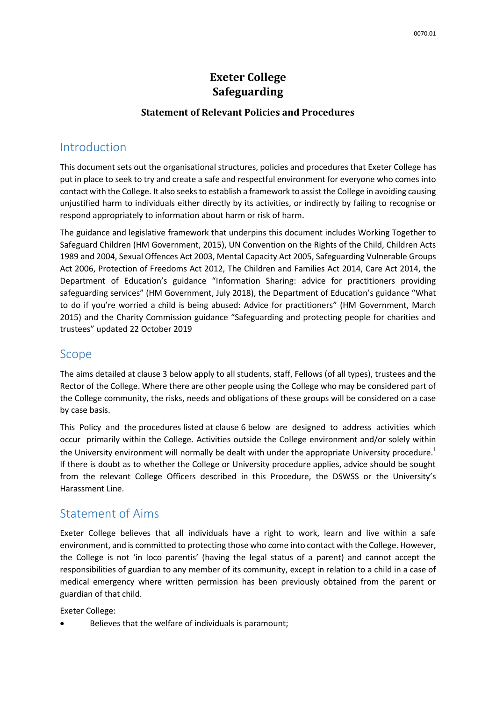## **Exeter College Safeguarding**

#### **Statement of Relevant Policies and Procedures**

## Introduction

This document sets out the organisational structures, policies and procedures that Exeter College has put in place to seek to try and create a safe and respectful environment for everyone who comes into contact with the College. It also seeks to establish a framework to assist the College in avoiding causing unjustified harm to individuals either directly by its activities, or indirectly by failing to recognise or respond appropriately to information about harm or risk of harm.

The guidance and legislative framework that underpins this document includes Working Together to Safeguard Children (HM Government, 2015), UN Convention on the Rights of the Child, Children Acts 1989 and 2004, Sexual Offences Act 2003, Mental Capacity Act 2005, Safeguarding Vulnerable Groups Act 2006, Protection of Freedoms Act 2012, The Children and Families Act 2014, Care Act 2014, the Department of Education's guidance "Information Sharing: advice for practitioners providing safeguarding services" (HM Government, July 2018), the Department of Education's guidance "What to do if you're worried a child is being abused: Advice for practitioners" (HM Government, March 2015) and the Charity Commission guidance "Safeguarding and protecting people for charities and trustees" updated 22 October 2019

#### Scope

The aims detailed at clause 3 below apply to all students, staff, Fellows (of all types), trustees and the Rector of the College. Where there are other people using the College who may be considered part of the College community, the risks, needs and obligations of these groups will be considered on a case by case basis.

This Policy and the procedures listed at clause 6 below are designed to address activities which occur primarily within the College. Activities outside the College environment and/or solely within the University environment will normally be dealt with under the appropriate University procedure.<sup>1</sup> If there is doubt as to whether the College or University procedure applies, advice should be sought from the relevant College Officers described in this Procedure, the DSWSS or the University's Harassment Line.

### Statement of Aims

Exeter College believes that all individuals have a right to work, learn and live within a safe environment, and is committed to protecting those who come into contact with the College. However, the College is not 'in loco parentis' (having the legal status of a parent) and cannot accept the responsibilities of guardian to any member of its community, except in relation to a child in a case of medical emergency where written permission has been previously obtained from the parent or guardian of that child.

Exeter College:

Believes that the welfare of individuals is paramount;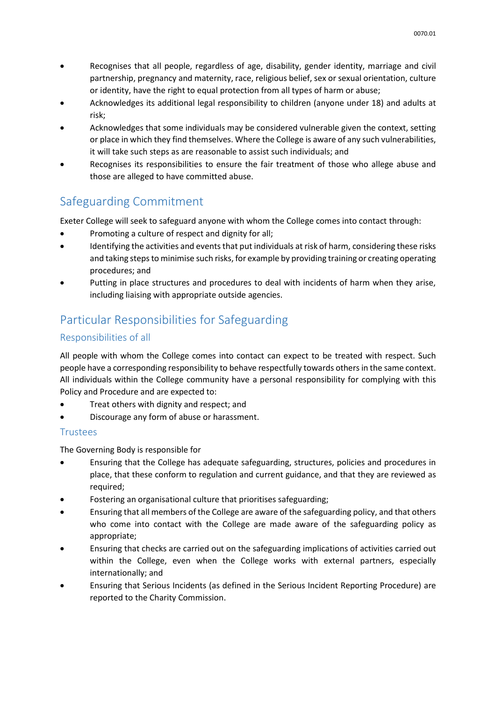- Recognises that all people, regardless of age, disability, gender identity, marriage and civil partnership, pregnancy and maternity, race, religious belief, sex or sexual orientation, culture or identity, have the right to equal protection from all types of harm or abuse;
- Acknowledges its additional legal responsibility to children (anyone under 18) and adults at risk;
- Acknowledges that some individuals may be considered vulnerable given the context, setting or place in which they find themselves. Where the College is aware of any such vulnerabilities, it will take such steps as are reasonable to assist such individuals; and
- Recognises its responsibilities to ensure the fair treatment of those who allege abuse and those are alleged to have committed abuse.

# Safeguarding Commitment

Exeter College will seek to safeguard anyone with whom the College comes into contact through:

- Promoting a culture of respect and dignity for all;
- Identifying the activities and events that put individuals at risk of harm, considering these risks and taking steps to minimise such risks, for example by providing training or creating operating procedures; and
- Putting in place structures and procedures to deal with incidents of harm when they arise, including liaising with appropriate outside agencies.

# Particular Responsibilities for Safeguarding

#### Responsibilities of all

All people with whom the College comes into contact can expect to be treated with respect. Such people have a corresponding responsibility to behave respectfully towards othersin the same context. All individuals within the College community have a personal responsibility for complying with this Policy and Procedure and are expected to:

- Treat others with dignity and respect; and
- Discourage any form of abuse or harassment.

#### Trustees

The Governing Body is responsible for

- Ensuring that the College has adequate safeguarding, structures, policies and procedures in place, that these conform to regulation and current guidance, and that they are reviewed as required;
- Fostering an organisational culture that prioritises safeguarding;
- Ensuring that all members of the College are aware of the safeguarding policy, and that others who come into contact with the College are made aware of the safeguarding policy as appropriate;
- Ensuring that checks are carried out on the safeguarding implications of activities carried out within the College, even when the College works with external partners, especially internationally; and
- Ensuring that Serious Incidents (as defined in the Serious Incident Reporting Procedure) are reported to the Charity Commission.